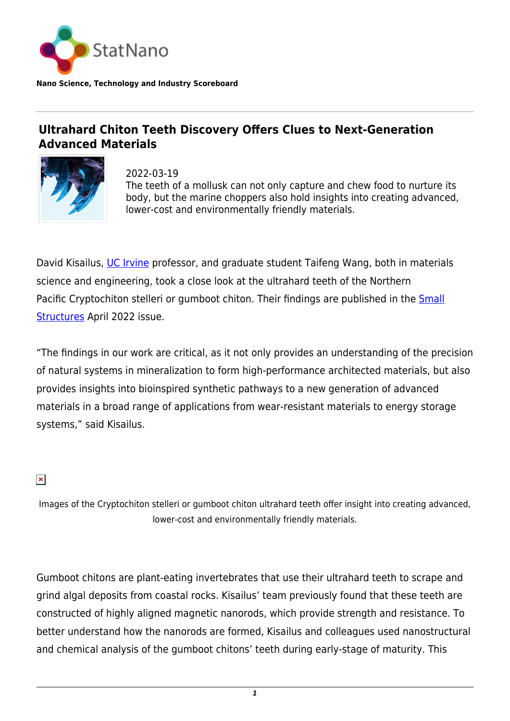

## **Ultrahard Chiton Teeth Discovery Offers Clues to Next-Generation Advanced Materials**



2022-03-19 The teeth of a mollusk can not only capture and chew food to nurture its body, but the marine choppers also hold insights into creating advanced, lower-cost and environmentally friendly materials.

David Kisailus, [UC Irvine](https://uci.edu/) professor, and graduate student Taifeng Wang, both in materials science and engineering, took a close look at the ultrahard teeth of the Northern Pacific Cryptochiton stelleri or gumboot chiton. Their findings are published in the **Small** [Structures](https://onlinelibrary.wiley.com/doi/10.1002/sstr.202100202) April 2022 issue.

"The findings in our work are critical, as it not only provides an understanding of the precision of natural systems in mineralization to form high-performance architected materials, but also provides insights into bioinspired synthetic pathways to a new generation of advanced materials in a broad range of applications from wear-resistant materials to energy storage systems," said Kisailus.

## $\pmb{\times}$

Images of the Cryptochiton stelleri or gumboot chiton ultrahard teeth offer insight into creating advanced, lower-cost and environmentally friendly materials.

Gumboot chitons are plant-eating invertebrates that use their ultrahard teeth to scrape and grind algal deposits from coastal rocks. Kisailus' team previously found that these teeth are constructed of highly aligned magnetic nanorods, which provide strength and resistance. To better understand how the nanorods are formed, Kisailus and colleagues used nanostructural and chemical analysis of the gumboot chitons' teeth during early-stage of maturity. This